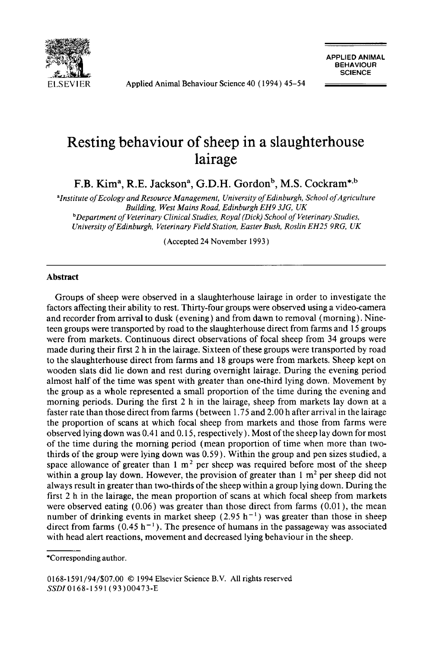

**ELSEVIER** Applied Animal Behaviour Science 40 (1994) 45-54

**APPLIED ANIMAL BEHAVlOUR ~ ~ ~ SCIENCE** 

# **Resting behaviour of sheep in a slaughterhouse lairage**

F.B. Kim<sup>a</sup>, R.E. Jackson<sup>a</sup>, G.D.H. Gordon<sup>b</sup>, M.S. Cockram<sup>\*,b</sup>

*alnstitute of Ecology and Resource Management, University of Edinburgh, School of Agriculture Building, West Mains Road, Edinburgh EH9 3JG, UK bDepartment of Veterinary Clinical Studies, Royal (Dick) School of Veterinary Studies, University of Edinburgh, Veterinary Field Station, Easter Bush, Roslin EH25 9RG, UK* 

(Accepted 24 November 1993)

## **Abstract**

Groups of sheep were observed in a slaughterhouse lairage in order to investigate the factors affecting their ability to rest. Thirty-four groups were observed using a video-camera and recorder from arrival to dusk (evening) and from dawn to removal (morning). Nineteen groups were transported by road to the slaughterhouse direct from farms and 15 groups were from markets. Continuous direct observations of focal sheep from 34 groups were made during their first 2 h in the lairage. Sixteen of these groups were transported by road to the slaughterhouse direct from farms and 18 groups were from markets. Sheep kept on wooden slats did lie down and rest during overnight lairage. During the evening period almost half of the time was spent with greater than one-third lying down. Movement by the group as a whole represented a small proportion of the time during the evening and morning periods. During the first 2 h in the lairage, sheep from markets lay down at a faster rate than those direct from farms (between 1.75 and 2.00 h after arrival in the lairage the proportion of scans at which focal sheep from markets and those from farms were observed lying down was 0.41 and 0.15, respectively). Most of the sheep lay down for most of the time during the morning period (mean proportion of time when more than twothirds of the group were lying down was 0.59). Within the group and pen sizes studied, a space allowance of greater than  $1 \text{ m}^2$  per sheep was required before most of the sheep within a group lay down. However, the provision of greater than  $1 \text{ m}^2$  per sheep did not always result in greater than two-thirds of the sheep within a group lying down. During the first 2 h in the lairage, the mean proportion of scans at which focal sheep from markets were observed eating (0.06) was greater than those direct from farms (0.01), the mean number of drinking events in market sheep  $(2.95 h<sup>-1</sup>)$  was greater than those in sheep direct from farms (0.45 h<sup>-1</sup>). The presence of humans in the passageway was associated with head alert reactions, movement and decreased lying behaviour in the sheep.

0168-1591/94/\$07.00 © 1994 Elsevier Science B.V. All rights reserved *SSDI0168-1591* (93)00473-E

<sup>\*</sup>Corresponding author.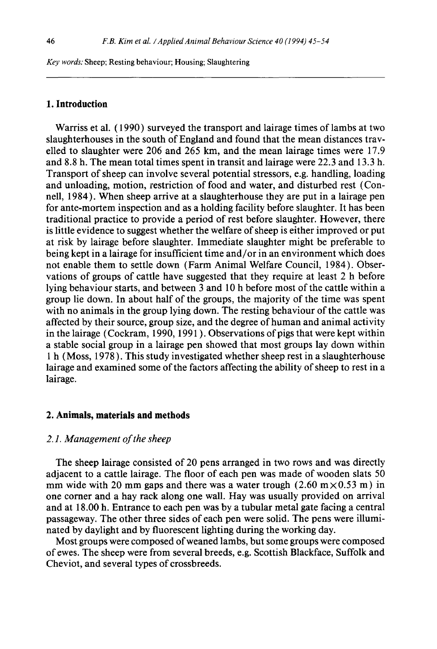*Key words:* Sheep; Resting behaviour; Housing; Slaughtering

## **1. Introduction**

Warriss et al. (1990) surveyed the transport and lairage times of lambs at two slaughterhouses in the south of England and found that the mean distances travelled to slaughter were 206 and 265 km, and the mean lairage times were 17.9 and 8.8 h. The mean total times spent in transit and lairage were 22.3 and 13.3 h. Transport of sheep can involve several potential stressors, e.g. handling, loading and unloading, motion, restriction of food and water, and disturbed rest (Connell, 1984). When sheep arrive at a slaughterhouse they are put in a lairage pen for ante-mortem inspection and as a holding facility before slaughter. It has been traditional practice to provide a period of rest before slaughter. However, there is little evidence to suggest whether the welfare of sheep is either improved or put at risk by lairage before slaughter. Immediate slaughter might be preferable to being kept in a lairage for insufficient time and/or in an environment which does not enable them to settle down (Farm Animal Welfare Council, 1984). Observations of groups of cattle have suggested that they require at least 2 h before lying behaviour starts, and between 3 and 10 h before most of the cattle within a group lie down. In about half of the groups, the majority of the time was spent with no animals in the group lying down. The resting behaviour of the cattle was affected by their source, group size, and the degree of human and animal activity in the lairage (Cockram, 1990, 1991 ). Observations of pigs that were kept within a stable social group in a lairage pen showed that most groups lay down within 1 h (Moss, 1978 ). This study investigated whether sheep rest in a slaughterhouse lairage and examined some of the factors affecting the ability of sheep to rest in a lairage.

#### **2. Animals, materials and methods**

#### *2.1. Management of the sheep*

The sheep lairage consisted of 20 pens arranged in two rows and was directly adjacent to a cattle lairage. The floor of each pen was made of wooden slats 50 mm wide with 20 mm gaps and there was a water trough  $(2.60 \text{ m} \times 0.53 \text{ m})$  in one comer and a hay rack along one wall. Hay was usually provided on arrival and at 18.00 h. Entrance to each pen was by a tubular metal gate facing a central passageway. The other three sides of each pen were solid. The pens were illuminated by daylight and by fluorescent lighting during the working day.

Most groups were composed of weaned lambs, but some groups were composed of ewes. The sheep were from several breeds, e.g. Scottish Blackface, Suffolk and Cheviot, and several types of crossbreeds.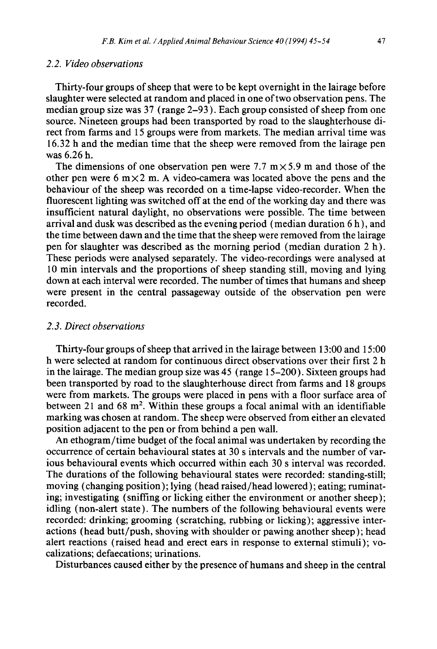## *2.2. Video observations*

Thirty-four groups of sheep that were to be kept overnight in the lairage before slaughter were selected at random and placed in one of two observation pens. The median group size was 37 (range 2-93 ). Each group consisted of sheep from one source. Nineteen groups had been transported by road to the slaughterhouse direct from farms and 15 groups were from markets. The median arrival time was 16.32 h and the median time that the sheep were removed from the lairage pen was 6.26 h.

The dimensions of one observation pen were 7.7  $m \times 5.9$  m and those of the other pen were 6 m $\times$  2 m. A video-camera was located above the pens and the behaviour of the sheep was recorded on a time-lapse video-recorder. When the fluorescent lighting was switched off at the end of the working day and there was insufficient natural daylight, no observations were possible. The time between arrival and dusk was described as the evening period (median duration 6 h), and the time between dawn and the time that the sheep were removed from the lairage pen for slaughter was described as the morning period (median duration 2 h). These periods were analysed separately. The video-recordings were analysed at 10 min intervals and the proportions of sheep standing still, moving and lying down at each interval were recorded. The number of times that humans and sheep were present in the central passageway outside of the observation pen were recorded.

#### *2.3. Direct observations*

Thirty-four groups of sheep that arrived in the lairage between 13:00 and 15:00 h were selected at random for continuous direct observations over their first 2 h in the lairage. The median group size was 45 (range 15-200). Sixteen groups had been transported by road to the slaughterhouse direct from farms and 18 groups were from markets. The groups were placed in pens with a floor surface area of between 21 and 68 m<sup>2</sup>. Within these groups a focal animal with an identifiable marking was chosen at random. The sheep were observed from either an elevated position adjacent to the pen or from behind a pen wall.

An ethogram/time budget of the focal animal was undertaken by recording the occurrence of certain behavioural states at 30 s intervals and the number of various behavioural events which occurred within each 30 s interval was recorded. The durations of the following behavioural states were recorded: standing-still; moving ( changing position ); lying (head raised/head lowered ); eating; ruminating; investigating (sniffing or licking either the environment or another sheep); idling (non-alert state). The numbers of the following behavioural events were recorded: drinking; grooming (scratching, rubbing or licking); aggressive interactions (head butt/push, shoving with shoulder or pawing another sheep); head alert reactions (raised head and erect ears in response to external stimuli); vocalizations; defaecations; urinations.

Disturbances caused either by the presence of humans and sheep in the central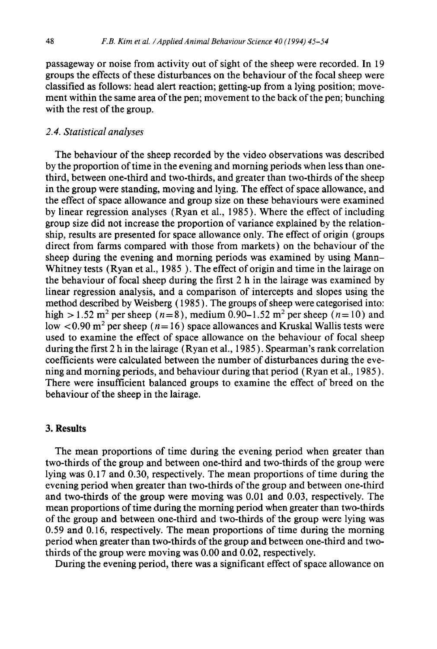passageway or noise from activity out of sight of the sheep were recorded. In 19 groups the effects of these disturbances on the behaviour of the focal sheep were classified as follows: head alert reaction; getting-up from a lying position; movement within the same area of the pen; movement to the back of the pen; bunching with the rest of the group.

## *2.4. Statistical analyses*

The behaviour of the sheep recorded by the video observations was described by the proportion of time in the evening and morning periods when less than onethird, between one-third and two-thirds, and greater than two-thirds of the sheep in the group were standing, moving and lying. The effect of space allowance, and the effect of space allowance and group size on these behaviours were examined by linear regression analyses (Ryan et al., 1985 ). Where the effect of including group size did not increase the proportion of variance explained by the relationship, results are presented for space allowance only. The effect of origin (groups direct from farms compared with those from markets) on the behaviour of the sheep during the evening and morning periods was examined by using Mann-Whitney tests (Ryan et al., 1985 ). The effect of origin and time in the lairage on the behaviour of focal sheep during the first 2 h in the lairage was examined by linear regression analysis, and a comparison of intercepts and slopes using the method described by Weisberg ( 1985 ). The groups of sheep were categorised into: high  $> 1.52$  m<sup>2</sup> per sheep ( $n=8$ ), medium 0.90–1.52 m<sup>2</sup> per sheep ( $n=10$ ) and low  $<$  0.90 m<sup>2</sup> per sheep ( $n=16$ ) space allowances and Kruskal Wallis tests were used to examine the effect of space allowance on the behaviour of focal sheep during the first 2 h in the lairage (Ryan et al., 1985 ). Spearman's rank correlation coefficients were calculated between the number of disturbances during the evening and morning periods, and behaviour during that period (Ryan et al., 1985 ). There were insufficient balanced groups to examine the effect of breed on the behaviour of the sheep in the lairage.

#### **3. Results**

The mean proportions of time during the evening period when greater than two-thirds of the group and between one-third and two-thirds of the group were lying was 0.17 and 0.30, respectively. The mean proportions of time during the evening period when greater than two-thirds of the group and between one-third and two-thirds of the group were moving was 0.01 and 0.03, respectively. The mean proportions of time during the morning period when greater than two-thirds of the group and between one-third and two-thirds of the group were lying was 0.59 and 0.16, respectively. The mean proportions of time during the morning period when greater than two-thirds of the group and *between* one-third and twothirds of the group were moving was 0.00 and 0.02, respectively.

During the evening period, there was a significant effect of space allowance on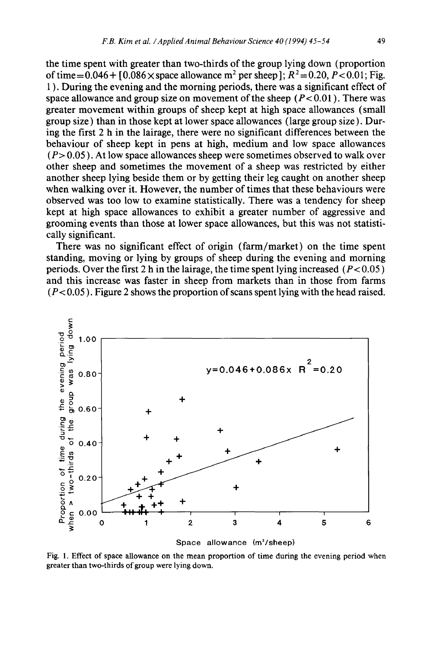the time spent with greater than two-thirds of the group lying down (proportion of time =  $0.046 + 10.086 \times$  space allowance m<sup>2</sup> per sheep 1;  $R^2 = 0.20$ ,  $P < 0.01$ ; Fig. 1 ). During the evening and the morning periods, there was a significant effect of space allowance and group size on movement of the sheep  $(P< 0.01)$ . There was greater movement within groups of sheep kept at high space allowances (small group size) than in those kept at lower space allowances (large group size). During the first 2 h in the lairage, there were no significant differences between the behaviour of sheep kept in pens at high, medium and low space allowances  $(P> 0.05)$ . At low space allowances sheep were sometimes observed to walk over other sheep and sometimes the movement of a sheep was restricted by either another sheep lying beside them or by getting their leg caught on another sheep when walking over it. However, the number of times that these behaviours were observed was too low to examine statistically. There was a tendency for sheep kept at high space allowances to exhibit a greater number of aggressive and grooming events than those at lower space allowances, but this was not statistically significant.

There was no significant effect of origin (farm/market) on the time spent standing, moving or lying by groups of sheep during the evening and morning periods. Over the first 2 h in the lairage, the time spent lying increased  $(P< 0.05)$ and this increase was faster in sheep from markets than in those from farms  $(P<0.05)$ . Figure 2 shows the proportion of scans spent lying with the head raised.



Space allowance (m<sup>2</sup>/sheep)

Fig. 1. Effect of space allowance on the mean proportion of time during the evening period when greater than two-thirds of group *were* lying down.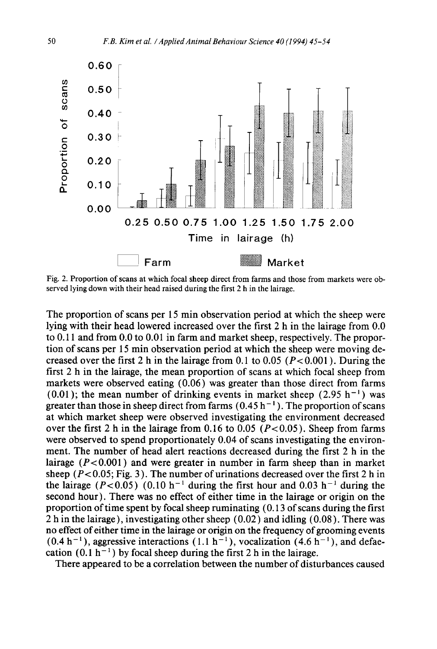

Fig. 2. Proportion of scans at which focal sheep direct from farms and those from markets were observed lying down with their head raised during the first 2 h in the lairage.

The proportion of scans per 15 min observation period at which the sheep were lying with their head lowered increased over the first 2 h in the lairage from 0.0 to 0.11 and from 0.0 to 0.01 in farm and market sheep, respectively. The proportion of scans per 15 min observation period at which the sheep were moving decreased over the first 2 h in the lairage from 0.1 to 0.05 ( $P < 0.001$ ). During the first 2 h in the lairage, the mean proportion of scans at which focal sheep from markets were observed eating (0.06) was greater than those direct from farms  $(0.01)$ ; the mean number of drinking events in market sheep  $(2.95 h<sup>-1</sup>)$  was greater than those in sheep direct from farms  $(0.45 h^{-1})$ . The proportion of scans at which market sheep were observed investigating the environment decreased over the first 2 h in the lairage from 0.16 to 0.05 ( $P < 0.05$ ). Sheep from farms were observed to spend proportionately 0.04 of scans investigating the environment. The number of head alert reactions decreased during the first 2 h in the lairage  $(P<0.001)$  and were greater in number in farm sheep than in market sheep ( $P < 0.05$ ; Fig. 3). The number of urinations decreased over the first 2 h in the lairage (P<0.05) (0.10 h<sup>-1</sup> during the first hour and 0.03 h<sup>-1</sup> during the second hour). There was no effect of either time in the lairage or origin on the proportion of time spent by focal sheep ruminating (0.13 of scans during the first 2 h in the lairage ), investigating other sheep (0.02) and idling (0.08). There was no effect of either time in the lairage or origin on the frequency of grooming events  $(0.4 h^{-1})$ , aggressive interactions  $(1.1 h^{-1})$ , vocalization  $(4.6 h^{-1})$ , and defaecation (0.1 h<sup>-1</sup>) by focal sheep during the first 2 h in the lairage.

There appeared to be a correlation between the number of disturbances caused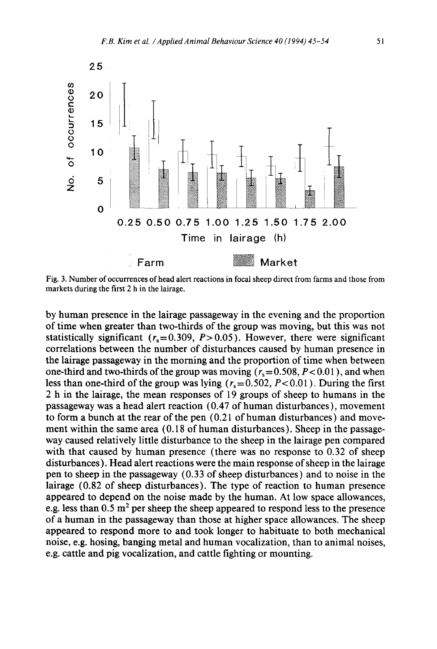

Fig. 3. Number of occurrences of head alert reactions in focal sheep direct from farms and those from markets during the first 2 h in the lairage.

by human presence in the lairage passageway in the evening and the proportion of time when greater than two-thirds of the group was moving, but this was not statistically significant  $(r_s=0.309, P>0.05)$ . However, there were significant correlations between the number of disturbances caused by human presence in the lairage passageway in the morning and the proportion of time when between one-third and two-thirds of the group was moving  $(r_s= 0.508, P< 0.01)$ , and when less than one-third of the group was lying ( $r_s = 0.502$ ,  $P < 0.01$ ). During the first 2 h in the lairage, the mean responses of 19 groups of sheep to humans in the passageway was a head alert reaction (0.47 of human disturbances), movement to form a bunch at the rear of the pen (0.21 of human disturbances) and movement within the same area (0.18 of human disturbances). Sheep in the passageway caused relatively little disturbance to the sheep in the lairage pen compared with that caused by human presence (there was no response to 0.32 of sheep disturbances). Head alert reactions were the main response of sheep in the lairage pen to sheep in the passageway (0.33 of sheep disturbances) and to noise in the lairage (0.82 of sheep disturbances). The type of reaction to human presence appeared to depend on the noise made by the human. At low space allowances, e.g. less than  $0.5$  m<sup>2</sup> per sheep the sheep appeared to respond less to the presence of a human in the passageway than those at higher space allowances. The sheep appeared to respond more to and took longer to habituate to both mechanical noise, e.g. hosing, banging metal and human vocalization, than to animal noises, e.g. cattle and pig vocalization, and cattle fighting or mounting.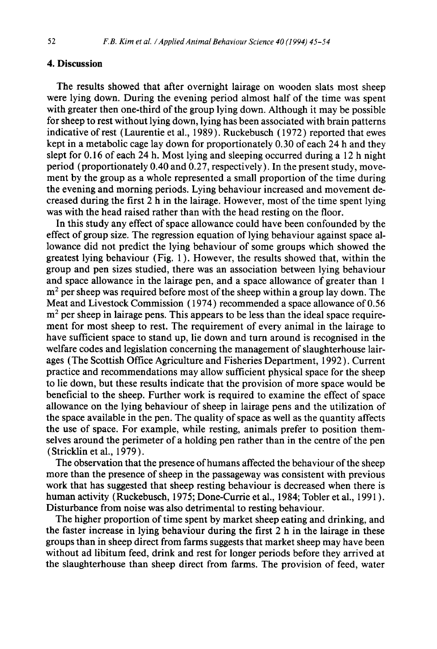#### **4. Discussion**

The results showed that after overnight lairage on wooden slats most sheep were lying down. During the evening period almost half of the time was spent with greater then one-third of the group lying down. Although it may be possible for sheep to rest without lying down, lying has been associated with brain patterns indicative of rest (Laurentie et al., 1989). Ruckebusch ( 1972 ) reported that ewes kept in a metabolic cage lay down for proportionately 0.30 of each 24 h and they slept for 0.16 of each 24 h. Most lying and sleeping occurred during a 12 h night period (proportionately 0.40 and 0.27, respectively). In the present study, movement by the group as a whole represented a small proportion of the time during the evening and morning periods. Lying behaviour increased and movement decreased during the first 2 h in the lairage. However, most of the time spent lying was with the head raised rather than with the head resting on the floor.

In this study any effect of space allowance could have been confounded by the effect of group size. The regression equation of lying behaviour against space allowance did not predict the lying behaviour of some groups which showed the greatest lying behaviour (Fig. 1 ). However, the results showed that, within the group and pen sizes studied, there was an association between lying behaviour and space allowance in the lairage pen, and a space allowance of greater than 1  $m<sup>2</sup>$  per sheep was required before most of the sheep within a group lay down. The Meat and Livestock Commission (1974) recommended a space allowance of 0.56  $m<sup>2</sup>$  per sheep in lairage pens. This appears to be less than the ideal space requirement for most sheep to rest. The requirement of every animal in the lairage to have sufficient space to stand up, lie down and turn around is recognised in the welfare codes and legislation concerning the management of slaughterhouse lairages (The Scottish Office Agriculture and Fisheries Department, 1992). Current practice and recommendations may allow sufficient physical space for the sheep to lie down, but these results indicate that the provision of more space would be beneficial to the sheep. Further work is required to examine the effect of space allowance on the lying behaviour of sheep in lairage pens and the utilization of the space available in the pen. The quality of space as well as the quantity affects the use of space. For example, while resting, animals prefer to position themselves around the perimeter of a holding pen rather than in the centre of the pen (Stricklin et al., 1979 ).

The observation that the presence of humans affected the behaviour of the sheep more than the presence of sheep in the passageway was consistent with previous work that has suggested that sheep resting behaviour is decreased when there is human activity (Ruckebusch, 1975; Done-Currie et al., 1984; Tobler et al., 1991 ). Disturbance from noise was also detrimental to resting behaviour.

The higher proportion of time spent by market sheep eating and drinking, and the faster increase in lying behaviour during the first 2 h in the lairage in these groups than in sheep direct from farms suggests that market sheep may have been without ad libitum feed, drink and rest for longer periods before they arrived at the slaughterhouse than sheep direct from farms. The provision of feed, water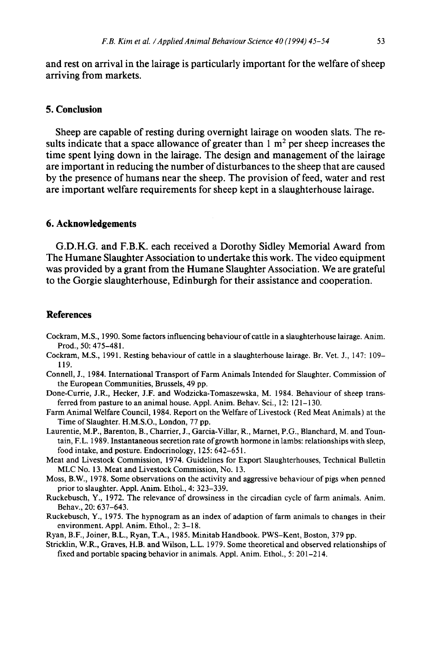and rest on arrival in the lairage is particularly important for the welfare of sheep arriving from markets.

## **5. Conclusion**

Sheep are capable of resting during overnight lairage on wooden slats. The results indicate that a space allowance of greater than  $1 \text{ m}^2$  per sheep increases the time spent lying down in the lairage. The design and management of the lairage are important in reducing the number of disturbances to the sheep that are caused by the presence of humans near the sheep. The provision of feed, water and rest are important welfare requirements for sheep kept in a slaughterhouse lairage.

#### **6. Acknowledgements**

G.D.H.G. and F.B.K. each received a Dorothy Sidley Memorial Award from The Humane Slaughter Association to undertake this work. The video equipment was provided by a grant from the Humane Slaughter Association. We are grateful to the Gorgie slaughterhouse, Edinburgh for their assistance and cooperation.

### **References**

- Cockram, M.S., 1990. Some factors influencing behaviour of cattle in a slaughterhouse lairage. Anim. Prod., 50: 475-481.
- Cockram, M.S., 1991. Resting behaviour of cattle in a slaughterhouse lairage. Br. Vet. J., 147: 109– 119.
- Connell, J., 1984. International Transport of Farm Animals Intended for Slaughter. Commission of the European Communities, Brussels, 49 pp.
- Done-Currie, J.R., Hecker, J.F. and Wodzicka-Tomaszewska, M. 1984. Behaviour of sheep transferred from pasture to an animal house. Appl. Anim. Behav. Sci., 12: 121-130.
- Farm Animal Welfare Council, 1984. Report on the Welfare of Livestock (Red Meat Animals) at the Time of Slaughter. H.M.S.O., London, 77 pp.
- Laurentie, M.P., Barenton, B., Charrier, J., Garcia-Villar, R., Marnet, P.G., Blanchard, M. and Tountain, F.L. 1989. Instantaneous secretion rate of growth hormone in lambs: relationships with sleep, food intake, and posture. Endocrinology, 125:642-651.
- Meat and Livestock Commission, 1974. Guidelines for Export Slaughterhouses, Technical Bulletin MLC No. 13. Meat and Livestock Commission, No. 13.
- Moss, B.W., 1978. Some observations on the activity and aggressive behaviour of pigs when penned prior to slaughter. Appi. Anim. Ethol., 4: 323-339.
- Ruckebusch, Y., 1972. The relevance of drowsiness in the circadian cycle of farm animals. Anim. Behav., 20: 637-643.
- Ruckebusch, Y., 1975. The hypnogram as an index of adaption of farm animals to changes in their environment. Appl. Anim. Ethol., 2: 3-18.
- Ryan, B.F., Joiner, B.L., Ryan, T.A., 1985. Minitab Handbook. PWS-Kent, Boston, 379 pp.
- Stricklin, W.R., Graves, H.B. and Wilson, L.L. 1979. Some theoretical and observed relationships of fixed and portable spacing behavior in animals. Appl. Anim. Ethol., 5:201-214.